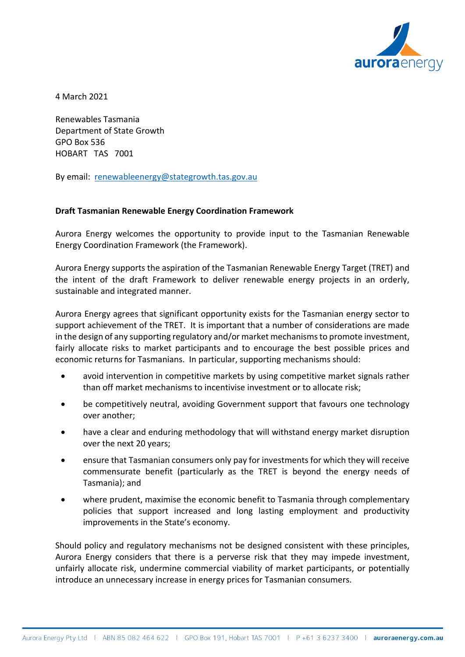

4 March 2021

Renewables Tasmania Department of State Growth GPO Box 536 HOBART TAS 7001

By email: [renewableenergy@stategrowth.tas.gov.au](mailto:renewableenergy@stategrowth.tas.gov.au)

## **Draft Tasmanian Renewable Energy Coordination Framework**

Aurora Energy welcomes the opportunity to provide input to the Tasmanian Renewable Energy Coordination Framework (the Framework).

Aurora Energy supports the aspiration of the Tasmanian Renewable Energy Target (TRET) and the intent of the draft Framework to deliver renewable energy projects in an orderly, sustainable and integrated manner.

Aurora Energy agrees that significant opportunity exists for the Tasmanian energy sector to support achievement of the TRET. It is important that a number of considerations are made in the design of any supporting regulatory and/or market mechanismsto promote investment, fairly allocate risks to market participants and to encourage the best possible prices and economic returns for Tasmanians. In particular, supporting mechanisms should:

- avoid intervention in competitive markets by using competitive market signals rather than off market mechanisms to incentivise investment or to allocate risk;
- be competitively neutral, avoiding Government support that favours one technology over another;
- have a clear and enduring methodology that will withstand energy market disruption over the next 20 years;
- ensure that Tasmanian consumers only pay for investments for which they will receive commensurate benefit (particularly as the TRET is beyond the energy needs of Tasmania); and
- where prudent, maximise the economic benefit to Tasmania through complementary policies that support increased and long lasting employment and productivity improvements in the State's economy.

Should policy and regulatory mechanisms not be designed consistent with these principles, Aurora Energy considers that there is a perverse risk that they may impede investment, unfairly allocate risk, undermine commercial viability of market participants, or potentially introduce an unnecessary increase in energy prices for Tasmanian consumers.